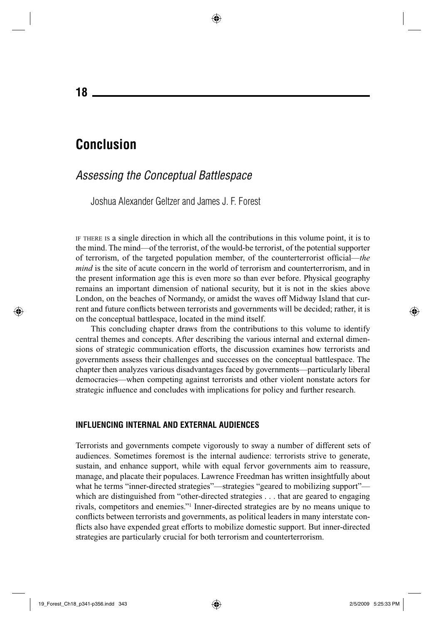**18** 

⊕

## **Conclusion**

## *Assessing the Conceptual Battlespace*

Joshua Alexander Geltzer and James J. F. Forest

IF THERE IS a single direction in which all the contributions in this volume point, it is to the mind. The mind—of the terrorist, of the would-be terrorist, of the potential supporter of terrorism, of the targeted population member, of the counterterrorist official—the *mind* is the site of acute concern in the world of terrorism and counterterrorism, and in the present information age this is even more so than ever before. Physical geography remains an important dimension of national security, but it is not in the skies above London, on the beaches of Normandy, or amidst the waves off Midway Island that current and future conflicts between terrorists and governments will be decided; rather, it is on the conceptual battlespace, located in the mind itself.

This concluding chapter draws from the contributions to this volume to identify central themes and concepts. After describing the various internal and external dimensions of strategic communication efforts, the discussion examines how terrorists and governments assess their challenges and successes on the conceptual battlespace. The chapter then analyzes various disadvantages faced by governments—particularly liberal democracies—when competing against terrorists and other violent nonstate actors for strategic influence and concludes with implications for policy and further research.

#### **INFLUENCING INTERNAL AND EXTERNAL AUDIENCES**

 Terrorists and governments compete vigorously to sway a number of different sets of audiences. Sometimes foremost is the internal audience: terrorists strive to generate, sustain, and enhance support, while with equal fervor governments aim to reassure, manage, and placate their populaces. Lawrence Freedman has written insightfully about what he terms "inner-directed strategies"—strategies "geared to mobilizing support" which are distinguished from "other-directed strategies . . . that are geared to engaging rivals, competitors and enemies." 1 Inner-directed strategies are by no means unique to conflicts between terrorists and governments, as political leaders in many interstate conflicts also have expended great efforts to mobilize domestic support. But inner-directed strategies are particularly crucial for both terrorism and counterterrorism.

19\_Forest\_Ch18\_p341-p356.indd 343 925/2009 5:25:33 PM / 9 = 2/5/2009 5:25:33 PM /5/2009 5:25:33 PM /5/2009 5:25:33 PM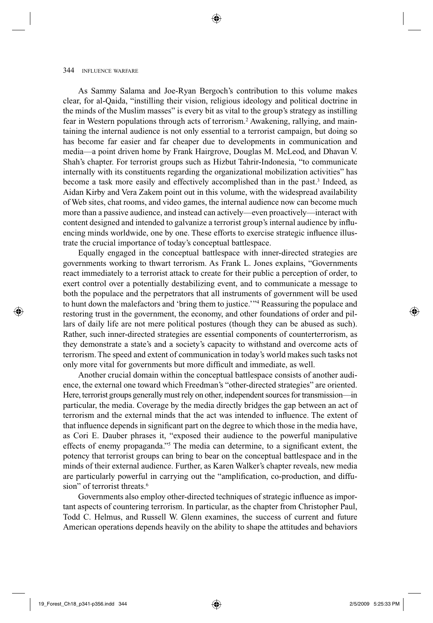As Sammy Salama and Joe-Ryan Bergoch's contribution to this volume makes clear, for al-Qaida, "instilling their vision, religious ideology and political doctrine in the minds of the Muslim masses" is every bit as vital to the group's strategy as instilling fear in Western populations through acts of terrorism.<sup>2</sup> Awakening, rallying, and maintaining the internal audience is not only essential to a terrorist campaign, but doing so has become far easier and far cheaper due to developments in communication and media—a point driven home by Frank Hairgrove, Douglas M. McLeod, and Dhavan V. Shah's chapter. For terrorist groups such as Hizbut Tahrir-Indonesia, "to communicate internally with its constituents regarding the organizational mobilization activities" has become a task more easily and effectively accomplished than in the past.<sup>3</sup> Indeed, as Aidan Kirby and Vera Zakem point out in this volume, with the widespread availability of Web sites, chat rooms, and video games, the internal audience now can become much more than a passive audience, and instead can actively—even proactively—interact with content designed and intended to galvanize a terrorist group's internal audience by influencing minds worldwide, one by one. These efforts to exercise strategic influence illustrate the crucial importance of today's conceptual battlespace.

 Equally engaged in the conceptual battlespace with inner-directed strategies are governments working to thwart terrorism. As Frank L. Jones explains, "Governments react immediately to a terrorist attack to create for their public a perception of order, to exert control over a potentially destabilizing event, and to communicate a message to both the populace and the perpetrators that all instruments of government will be used to hunt down the malefactors and 'bring them to justice.'"<sup>4</sup> Reassuring the populace and restoring trust in the government, the economy, and other foundations of order and pillars of daily life are not mere political postures (though they can be abused as such). Rather, such inner-directed strategies are essential components of counterterrorism, as they demonstrate a state's and a society's capacity to withstand and overcome acts of terrorism. The speed and extent of communication in today's world makes such tasks not only more vital for governments but more difficult and immediate, as well.

 Another crucial domain within the conceptual battlespace consists of another audience, the external one toward which Freedman's "other-directed strategies" are oriented. Here, terrorist groups generally must rely on other, independent sources for transmission—in particular, the media. Coverage by the media directly bridges the gap between an act of terrorism and the external minds that the act was intended to influence. The extent of that influence depends in significant part on the degree to which those in the media have, as Cori E. Dauber phrases it, "exposed their audience to the powerful manipulative effects of enemy propaganda."<sup>5</sup> The media can determine, to a significant extent, the potency that terrorist groups can bring to bear on the conceptual battlespace and in the minds of their external audience. Further, as Karen Walker's chapter reveals, new media are particularly powerful in carrying out the "amplification, co-production, and diffusion" of terrorist threats.<sup>6</sup>

Governments also employ other-directed techniques of strategic influence as important aspects of countering terrorism. In particular, as the chapter from Christopher Paul, Todd C. Helmus, and Russell W. Glenn examines, the success of current and future American operations depends heavily on the ability to shape the attitudes and behaviors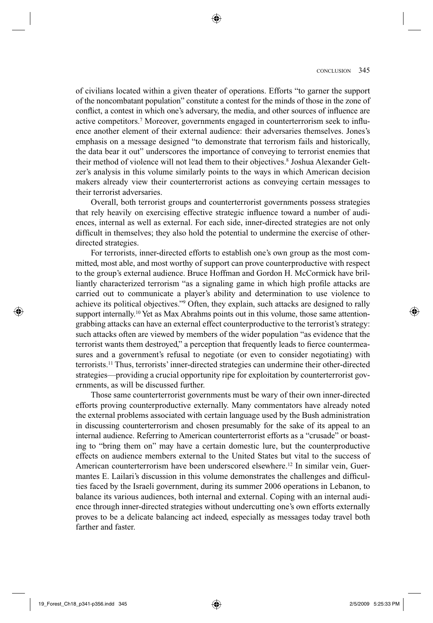#### CONCLUSION 345

of civilians located within a given theater of operations. Efforts "to garner the support of the noncombatant population" constitute a contest for the minds of those in the zone of conflict, a contest in which one's adversary, the media, and other sources of influence are active competitors.<sup>7</sup> Moreover, governments engaged in counterterrorism seek to influence another element of their external audience: their adversaries themselves. Jones's emphasis on a message designed "to demonstrate that terrorism fails and historically, the data bear it out" underscores the importance of conveying to terrorist enemies that their method of violence will not lead them to their objectives. 8 Joshua Alexander Geltzer's analysis in this volume similarly points to the ways in which American decision makers already view their counterterrorist actions as conveying certain messages to their terrorist adversaries.

◈

 Overall, both terrorist groups and counterterrorist governments possess strategies that rely heavily on exercising effective strategic influence toward a number of audiences, internal as well as external. For each side, inner-directed strategies are not only difficult in themselves; they also hold the potential to undermine the exercise of otherdirected strategies.

 For terrorists, inner-directed efforts to establish one's own group as the most committed, most able, and most worthy of support can prove counterproductive with respect to the group's external audience. Bruce Hoffman and Gordon H. McCormick have brilliantly characterized terrorism "as a signaling game in which high profile attacks are carried out to communicate a player's ability and determination to use violence to achieve its political objectives." Often, they explain, such attacks are designed to rally support internally.<sup>10</sup> Yet as Max Abrahms points out in this volume, those same attentiongrabbing attacks can have an external effect counterproductive to the terrorist's strategy: such attacks often are viewed by members of the wider population "as evidence that the terrorist wants them destroyed," a perception that frequently leads to fierce countermeasures and a government's refusal to negotiate (or even to consider negotiating) with terrorists. 11 Thus, terrorists' inner-directed strategies can undermine their other-directed strategies—providing a crucial opportunity ripe for exploitation by counterterrorist governments, as will be discussed further.

 Those same counterterrorist governments must be wary of their own inner-directed efforts proving counterproductive externally. Many commentators have already noted the external problems associated with certain language used by the Bush administration in discussing counterterrorism and chosen presumably for the sake of its appeal to an internal audience. Referring to American counterterrorist efforts as a "crusade" or boasting to "bring them on" may have a certain domestic lure, but the counterproductive effects on audience members external to the United States but vital to the success of American counterterrorism have been underscored elsewhere. 12 In similar vein, Guermantes E. Lailari's discussion in this volume demonstrates the challenges and difficulties faced by the Israeli government, during its summer 2006 operations in Lebanon, to balance its various audiences, both internal and external. Coping with an internal audience through inner-directed strategies without undercutting one's own efforts externally proves to be a delicate balancing act indeed, especially as messages today travel both farther and faster.

◈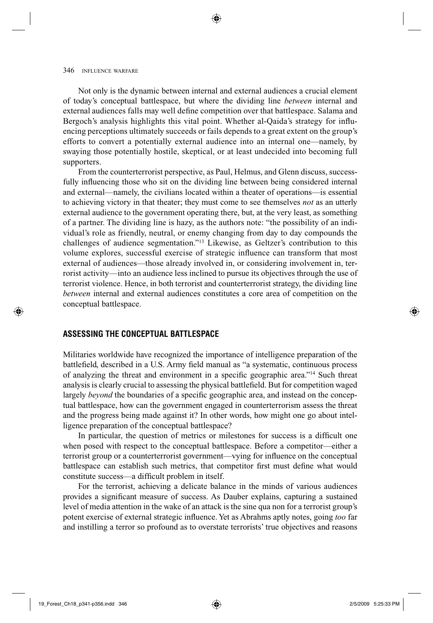Not only is the dynamic between internal and external audiences a crucial element of today's conceptual battlespace, but where the dividing line *between* internal and external audiences falls may well define competition over that battlespace. Salama and Bergoch's analysis highlights this vital point. Whether al-Qaida's strategy for influencing perceptions ultimately succeeds or fails depends to a great extent on the group's efforts to convert a potentially external audience into an internal one—namely, by swaying those potentially hostile, skeptical, or at least undecided into becoming full supporters.

 From the counterterrorist perspective, as Paul, Helmus, and Glenn discuss, successfully influencing those who sit on the dividing line between being considered internal and external—namely, the civilians located within a theater of operations—is essential to achieving victory in that theater; they must come to see themselves *not* as an utterly external audience to the government operating there, but, at the very least, as something of a partner. The dividing line is hazy, as the authors note: "the possibility of an individual's role as friendly, neutral, or enemy changing from day to day compounds the challenges of audience segmentation." 13 Likewise, as Geltzer's contribution to this volume explores, successful exercise of strategic influence can transform that most external of audiences—those already involved in, or considering involvement in, terrorist activity—into an audience less inclined to pursue its objectives through the use of terrorist violence. Hence, in both terrorist and counterterrorist strategy, the dividing line *between* internal and external audiences constitutes a core area of competition on the conceptual battlespace.

#### **ASSESSING THE CONCEPTUAL BATTLESPACE**

 Militaries worldwide have recognized the importance of intelligence preparation of the battlefield, described in a U.S. Army field manual as "a systematic, continuous process of analyzing the threat and environment in a specific geographic area."<sup>14</sup> Such threat analysis is clearly crucial to assessing the physical battlefield. But for competition waged largely *beyond* the boundaries of a specific geographic area, and instead on the conceptual battlespace, how can the government engaged in counterterrorism assess the threat and the progress being made against it? In other words, how might one go about intelligence preparation of the conceptual battlespace?

In particular, the question of metrics or milestones for success is a difficult one when posed with respect to the conceptual battlespace. Before a competitor—either a terrorist group or a counterterrorist government—vying for influence on the conceptual battlespace can establish such metrics, that competitor first must define what would constitute success—a difficult problem in itself.

 For the terrorist, achieving a delicate balance in the minds of various audiences provides a significant measure of success. As Dauber explains, capturing a sustained level of media attention in the wake of an attack is the sine qua non for a terrorist group's potent exercise of external strategic influence. Yet as Abrahms aptly notes, going *too* far and instilling a terror so profound as to overstate terrorists' true objectives and reasons

◈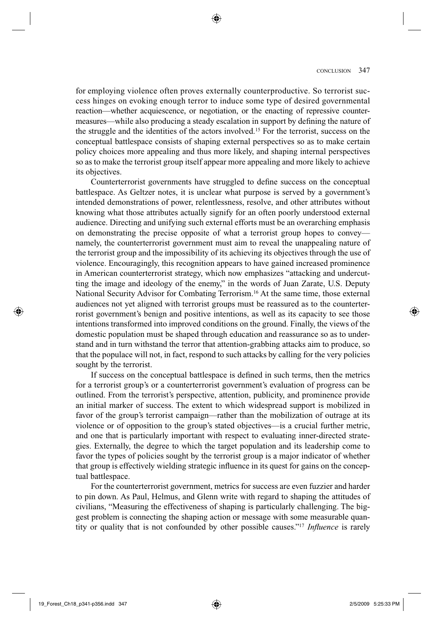for employing violence often proves externally counterproductive. So terrorist success hinges on evoking enough terror to induce some type of desired governmental reaction—whether acquiescence, or negotiation, or the enacting of repressive countermeasures—while also producing a steady escalation in support by defining the nature of the struggle and the identities of the actors involved. 15 For the terrorist, success on the conceptual battlespace consists of shaping external perspectives so as to make certain policy choices more appealing and thus more likely, and shaping internal perspectives so as to make the terrorist group itself appear more appealing and more likely to achieve its objectives.

◈

Counterterrorist governments have struggled to define success on the conceptual battlespace. As Geltzer notes, it is unclear what purpose is served by a government's intended demonstrations of power, relentlessness, resolve, and other attributes without knowing what those attributes actually signify for an often poorly understood external audience. Directing and unifying such external efforts must be an overarching emphasis on demonstrating the precise opposite of what a terrorist group hopes to convey namely, the counterterrorist government must aim to reveal the unappealing nature of the terrorist group and the impossibility of its achieving its objectives through the use of violence. Encouragingly, this recognition appears to have gained increased prominence in American counterterrorist strategy, which now emphasizes "attacking and undercutting the image and ideology of the enemy," in the words of Juan Zarate, U.S. Deputy National Security Advisor for Combating Terrorism. 16 At the same time, those external audiences not yet aligned with terrorist groups must be reassured as to the counterterrorist government's benign and positive intentions, as well as its capacity to see those intentions transformed into improved conditions on the ground. Finally, the views of the domestic population must be shaped through education and reassurance so as to understand and in turn withstand the terror that attention-grabbing attacks aim to produce, so that the populace will not, in fact, respond to such attacks by calling for the very policies sought by the terrorist.

If success on the conceptual battlespace is defined in such terms, then the metrics for a terrorist group's or a counterterrorist government's evaluation of progress can be outlined. From the terrorist's perspective, attention, publicity, and prominence provide an initial marker of success. The extent to which widespread support is mobilized in favor of the group's terrorist campaign—rather than the mobilization of outrage at its violence or of opposition to the group's stated objectives—is a crucial further metric, and one that is particularly important with respect to evaluating inner-directed strategies. Externally, the degree to which the target population and its leadership come to favor the types of policies sought by the terrorist group is a major indicator of whether that group is effectively wielding strategic influence in its quest for gains on the conceptual battlespace.

 For the counterterrorist government, metrics for success are even fuzzier and harder to pin down. As Paul, Helmus, and Glenn write with regard to shaping the attitudes of civilians, "Measuring the effectiveness of shaping is particularly challenging. The biggest problem is connecting the shaping action or message with some measurable quantity or quality that is not confounded by other possible causes."<sup>17</sup> Influence is rarely

19\_Forest\_Ch18\_p341-p356.indd 347 925/2009 5:25:33 PM / 9 and 2/5/2009 5:25:33 PM / 2/5/2009 5:25:33 PM /5/2009 5:25:33 PM /5/2009 5:25:33 PM /5/2009 5:25:33 PM /5/2009 5:25:33 PM /5/2009 5:25:33 PM /5/2009 5:25:33 PM /5/2

◈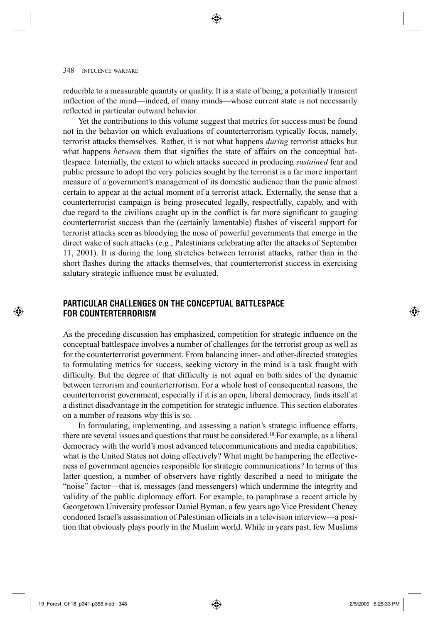reducible to a measurable quantity or quality. It is a state of being, a potentially transient inflection of the mind—indeed, of many minds—whose current state is not necessarily reflected in particular outward behavior.

 Yet the contributions to this volume suggest that metrics for success must be found not in the behavior on which evaluations of counterterrorism typically focus, namely, terrorist attacks themselves. Rather, it is not what happens *during* terrorist attacks but what happens *between* them that signifies the state of affairs on the conceptual battlespace. Internally, the extent to which attacks succeed in producing *sustained* fear and public pressure to adopt the very policies sought by the terrorist is a far more important measure of a government's management of its domestic audience than the panic almost certain to appear at the actual moment of a terrorist attack. Externally, the sense that a counterterrorist campaign is being prosecuted legally, respectfully, capably, and with due regard to the civilians caught up in the conflict is far more significant to gauging counterterrorist success than the (certainly lamentable) flashes of visceral support for terrorist attacks seen as bloodying the nose of powerful governments that emerge in the direct wake of such attacks (e.g., Palestinians celebrating after the attacks of September 11, 2001). It is during the long stretches between terrorist attacks, rather than in the short flashes during the attacks themselves, that counterterrorist success in exercising salutary strategic influence must be evaluated.

### **PARTICULAR CHALLENGES ON THE CONCEPTUAL BATTLESPACE FOR COUNTERTERRORISM**

As the preceding discussion has emphasized, competition for strategic influence on the conceptual battlespace involves a number of challenges for the terrorist group as well as for the counterterrorist government. From balancing inner- and other-directed strategies to formulating metrics for success, seeking victory in the mind is a task fraught with difficulty. But the degree of that difficulty is not equal on both sides of the dynamic between terrorism and counterterrorism. For a whole host of consequential reasons, the counterterrorist government, especially if it is an open, liberal democracy, finds itself at a distinct disadvantage in the competition for strategic influence. This section elaborates on a number of reasons why this is so.

In formulating, implementing, and assessing a nation's strategic influence efforts, there are several issues and questions that must be considered. 18 For example, as a liberal democracy with the world's most advanced telecommunications and media capabilities, what is the United States not doing effectively? What might be hampering the effectiveness of government agencies responsible for strategic communications? In terms of this latter question, a number of observers have rightly described a need to mitigate the "noise" factor—that is, messages (and messengers) which undermine the integrity and validity of the public diplomacy effort. For example, to paraphrase a recent article by Georgetown University professor Daniel Byman, a few years ago Vice President Cheney condoned Israel's assassination of Palestinian officials in a television interview—a position that obviously plays poorly in the Muslim world. While in years past, few Muslims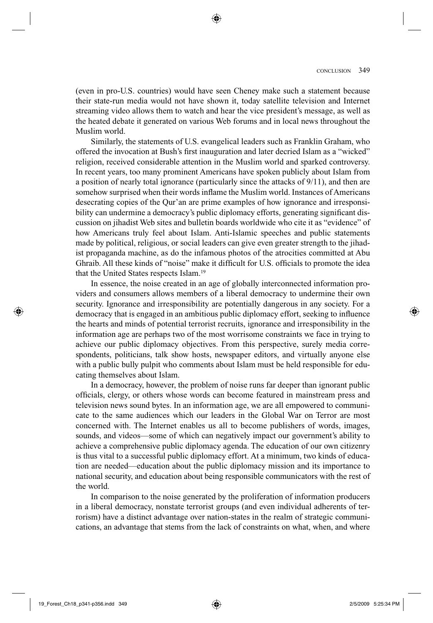(even in pro-U.S. countries) would have seen Cheney make such a statement because their state-run media would not have shown it, today satellite television and Internet streaming video allows them to watch and hear the vice president's message, as well as the heated debate it generated on various Web forums and in local news throughout the Muslim world.

 Similarly, the statements of U.S. evangelical leaders such as Franklin Graham, who offered the invocation at Bush's first inauguration and later decried Islam as a "wicked" religion, received considerable attention in the Muslim world and sparked controversy. In recent years, too many prominent Americans have spoken publicly about Islam from a position of nearly total ignorance (particularly since the attacks of 9/11), and then are somehow surprised when their words inflame the Muslim world. Instances of Americans desecrating copies of the Qur'an are prime examples of how ignorance and irresponsibility can undermine a democracy's public diplomacy efforts, generating significant discussion on jihadist Web sites and bulletin boards worldwide who cite it as "evidence" of how Americans truly feel about Islam. Anti-Islamic speeches and public statements made by political, religious, or social leaders can give even greater strength to the jihadist propaganda machine, as do the infamous photos of the atrocities committed at Abu Ghraib. All these kinds of "noise" make it difficult for U.S. officials to promote the idea that the United States respects Islam. 19

 In essence, the noise created in an age of globally interconnected information providers and consumers allows members of a liberal democracy to undermine their own security. Ignorance and irresponsibility are potentially dangerous in any society. For a democracy that is engaged in an ambitious public diplomacy effort, seeking to influence the hearts and minds of potential terrorist recruits, ignorance and irresponsibility in the information age are perhaps two of the most worrisome constraints we face in trying to achieve our public diplomacy objectives. From this perspective, surely media correspondents, politicians, talk show hosts, newspaper editors, and virtually anyone else with a public bully pulpit who comments about Islam must be held responsible for educating themselves about Islam.

 In a democracy, however, the problem of noise runs far deeper than ignorant public officials, clergy, or others whose words can become featured in mainstream press and television news sound bytes. In an information age, we are all empowered to communicate to the same audiences which our leaders in the Global War on Terror are most concerned with. The Internet enables us all to become publishers of words, images, sounds, and videos—some of which can negatively impact our government's ability to achieve a comprehensive public diplomacy agenda. The education of our own citizenry is thus vital to a successful public diplomacy effort. At a minimum, two kinds of education are needed—education about the public diplomacy mission and its importance to national security, and education about being responsible communicators with the rest of the world.

 In comparison to the noise generated by the proliferation of information producers in a liberal democracy, nonstate terrorist groups (and even individual adherents of terrorism) have a distinct advantage over nation-states in the realm of strategic communications, an advantage that stems from the lack of constraints on what, when, and where

◈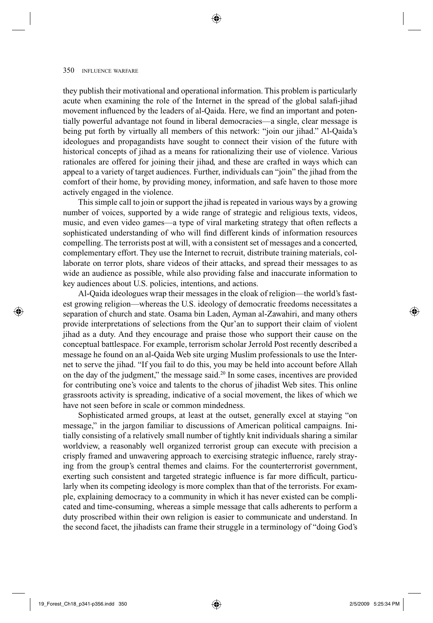they publish their motivational and operational information. This problem is particularly acute when examining the role of the Internet in the spread of the global salafi -jihad movement influenced by the leaders of al-Qaida. Here, we find an important and potentially powerful advantage not found in liberal democracies—a single, clear message is being put forth by virtually all members of this network: "join our jihad." Al-Qaida's ideologues and propagandists have sought to connect their vision of the future with historical concepts of jihad as a means for rationalizing their use of violence. Various rationales are offered for joining their jihad, and these are crafted in ways which can appeal to a variety of target audiences. Further, individuals can "join" the jihad from the comfort of their home, by providing money, information, and safe haven to those more actively engaged in the violence.

◈

 This simple call to join or support the jihad is repeated in various ways by a growing number of voices, supported by a wide range of strategic and religious texts, videos, music, and even video games—a type of viral marketing strategy that often reflects a sophisticated understanding of who will find different kinds of information resources compelling. The terrorists post at will, with a consistent set of messages and a concerted, complementary effort. They use the Internet to recruit, distribute training materials, collaborate on terror plots, share videos of their attacks, and spread their messages to as wide an audience as possible, while also providing false and inaccurate information to key audiences about U.S. policies, intentions, and actions.

 Al-Qaida ideologues wrap their messages in the cloak of religion—the world's fastest growing religion—whereas the U.S. ideology of democratic freedoms necessitates a separation of church and state. Osama bin Laden, Ayman al-Zawahiri, and many others provide interpretations of selections from the Qur'an to support their claim of violent jihad as a duty. And they encourage and praise those who support their cause on the conceptual battlespace. For example, terrorism scholar Jerrold Post recently described a message he found on an al-Qaida Web site urging Muslim professionals to use the Internet to serve the jihad. "If you fail to do this, you may be held into account before Allah on the day of the judgment," the message said. 20 In some cases, incentives are provided for contributing one's voice and talents to the chorus of jihadist Web sites. This online grassroots activity is spreading, indicative of a social movement, the likes of which we have not seen before in scale or common mindedness.

 Sophisticated armed groups, at least at the outset, generally excel at staying "on message," in the jargon familiar to discussions of American political campaigns. Initially consisting of a relatively small number of tightly knit individuals sharing a similar worldview, a reasonably well organized terrorist group can execute with precision a crisply framed and unwavering approach to exercising strategic influence, rarely straying from the group's central themes and claims. For the counterterrorist government, exerting such consistent and targeted strategic influence is far more difficult, particularly when its competing ideology is more complex than that of the terrorists. For example, explaining democracy to a community in which it has never existed can be complicated and time-consuming, whereas a simple message that calls adherents to perform a duty proscribed within their own religion is easier to communicate and understand. In the second facet, the jihadists can frame their struggle in a terminology of "doing God's

⊕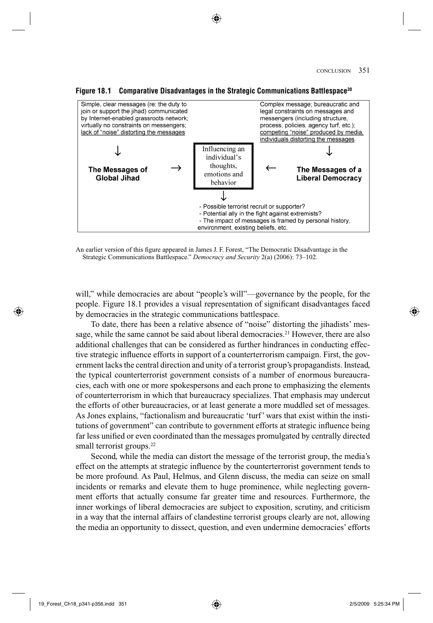#### CONCLUSION 351



**Figure 18.1 Comparative Disadvantages in the Strategic Communications Battlespace30**

An earlier version of this figure appeared in James J. F. Forest, "The Democratic Disadvantage in the Strategic Communications Battlespace." *Democracy and Security* 2(a) (2006): 73–102.

will," while democracies are about "people's will"—governance by the people, for the people. Figure 18.1 provides a visual representation of significant disadvantages faced by democracies in the strategic communications battlespace.

 To date, there has been a relative absence of "noise" distorting the jihadists' message, while the same cannot be said about liberal democracies. 21 However, there are also additional challenges that can be considered as further hindrances in conducting effective strategic influence efforts in support of a counterterrorism campaign. First, the government lacks the central direction and unity of a terrorist group's propagandists. Instead, the typical counterterrorist government consists of a number of enormous bureaucracies, each with one or more spokespersons and each prone to emphasizing the elements of counterterrorism in which that bureaucracy specializes. That emphasis may undercut the efforts of other bureaucracies, or at least generate a more muddled set of messages. As Jones explains, "factionalism and bureaucratic 'turf' wars that exist within the institutions of government" can contribute to government efforts at strategic influence being far less unified or even coordinated than the messages promulgated by centrally directed small terrorist groups.<sup>22</sup>

 Second, while the media can distort the message of the terrorist group, the media's effect on the attempts at strategic influence by the counterterrorist government tends to be more profound. As Paul, Helmus, and Glenn discuss, the media can seize on small incidents or remarks and elevate them to huge prominence, while neglecting government efforts that actually consume far greater time and resources. Furthermore, the inner workings of liberal democracies are subject to exposition, scrutiny, and criticism in a way that the internal affairs of clandestine terrorist groups clearly are not, allowing the media an opportunity to dissect, question, and even undermine democracies' efforts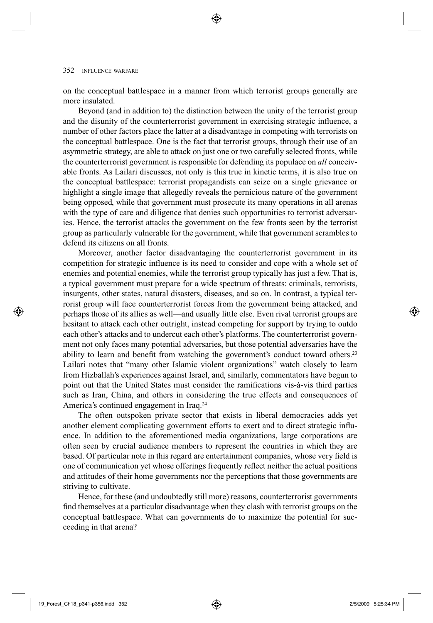on the conceptual battlespace in a manner from which terrorist groups generally are more insulated.

 Beyond (and in addition to) the distinction between the unity of the terrorist group and the disunity of the counterterrorist government in exercising strategic influence, a number of other factors place the latter at a disadvantage in competing with terrorists on the conceptual battlespace. One is the fact that terrorist groups, through their use of an asymmetric strategy, are able to attack on just one or two carefully selected fronts, while the counterterrorist government is responsible for defending its populace on *all* conceivable fronts. As Lailari discusses, not only is this true in kinetic terms, it is also true on the conceptual battlespace: terrorist propagandists can seize on a single grievance or highlight a single image that allegedly reveals the pernicious nature of the government being opposed, while that government must prosecute its many operations in all arenas with the type of care and diligence that denies such opportunities to terrorist adversaries. Hence, the terrorist attacks the government on the few fronts seen by the terrorist group as particularly vulnerable for the government, while that government scrambles to defend its citizens on all fronts.

 Moreover, another factor disadvantaging the counterterrorist government in its competition for strategic influence is its need to consider and cope with a whole set of enemies and potential enemies, while the terrorist group typically has just a few. That is, a typical government must prepare for a wide spectrum of threats: criminals, terrorists, insurgents, other states, natural disasters, diseases, and so on. In contrast, a typical terrorist group will face counterterrorist forces from the government being attacked, and perhaps those of its allies as well—and usually little else. Even rival terrorist groups are hesitant to attack each other outright, instead competing for support by trying to outdo each other's attacks and to undercut each other's platforms. The counterterrorist government not only faces many potential adversaries, but those potential adversaries have the ability to learn and benefit from watching the government's conduct toward others.<sup>23</sup> Lailari notes that "many other Islamic violent organizations" watch closely to learn from Hizballah's experiences against Israel, and, similarly, commentators have begun to point out that the United States must consider the ramifications vis-à-vis third parties such as Iran, China, and others in considering the true effects and consequences of America's continued engagement in Iraq.<sup>24</sup>

 The often outspoken private sector that exists in liberal democracies adds yet another element complicating government efforts to exert and to direct strategic influence. In addition to the aforementioned media organizations, large corporations are often seen by crucial audience members to represent the countries in which they are based. Of particular note in this regard are entertainment companies, whose very field is one of communication yet whose offerings frequently reflect neither the actual positions and attitudes of their home governments nor the perceptions that those governments are striving to cultivate.

 Hence, for these (and undoubtedly still more) reasons, counterterrorist governments find themselves at a particular disadvantage when they clash with terrorist groups on the conceptual battlespace. What can governments do to maximize the potential for succeeding in that arena?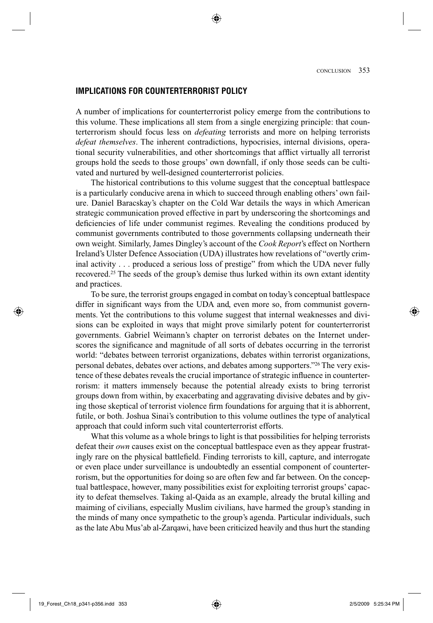#### **IMPLICATIONS FOR COUNTERTERRORIST POLICY**

 A number of implications for counterterrorist policy emerge from the contributions to this volume. These implications all stem from a single energizing principle: that counterterrorism should focus less on *defeating* terrorists and more on helping terrorists *defeat themselves* . The inherent contradictions, hypocrisies, internal divisions, operational security vulnerabilities, and other shortcomings that afflict virtually all terrorist groups hold the seeds to those groups' own downfall, if only those seeds can be cultivated and nurtured by well-designed counterterrorist policies.

 The historical contributions to this volume suggest that the conceptual battlespace is a particularly conducive arena in which to succeed through enabling others' own failure. Daniel Baracskay's chapter on the Cold War details the ways in which American strategic communication proved effective in part by underscoring the shortcomings and deficiencies of life under communist regimes. Revealing the conditions produced by communist governments contributed to those governments collapsing underneath their own weight. Similarly, James Dingley's account of the *Cook Report* 's effect on Northern Ireland's Ulster Defence Association (UDA) illustrates how revelations of "overtly criminal activity . . . produced a serious loss of prestige" from which the UDA never fully recovered. 25 The seeds of the group's demise thus lurked within its own extant identity and practices.

 To be sure, the terrorist groups engaged in combat on today's conceptual battlespace differ in significant ways from the UDA and, even more so, from communist governments. Yet the contributions to this volume suggest that internal weaknesses and divisions can be exploited in ways that might prove similarly potent for counterterrorist governments. Gabriel Weimann's chapter on terrorist debates on the Internet underscores the significance and magnitude of all sorts of debates occurring in the terrorist world: "debates between terrorist organizations, debates within terrorist organizations, personal debates, debates over actions, and debates among supporters."<sup>26</sup> The very existence of these debates reveals the crucial importance of strategic influence in counterterrorism: it matters immensely because the potential already exists to bring terrorist groups down from within, by exacerbating and aggravating divisive debates and by giving those skeptical of terrorist violence firm foundations for arguing that it is abhorrent, futile, or both. Joshua Sinai's contribution to this volume outlines the type of analytical approach that could inform such vital counterterrorist efforts.

 What this volume as a whole brings to light is that possibilities for helping terrorists defeat their *own* causes exist on the conceptual battlespace even as they appear frustratingly rare on the physical battlefield. Finding terrorists to kill, capture, and interrogate or even place under surveillance is undoubtedly an essential component of counterterrorism, but the opportunities for doing so are often few and far between. On the conceptual battlespace, however, many possibilities exist for exploiting terrorist groups' capacity to defeat themselves. Taking al-Qaida as an example, already the brutal killing and maiming of civilians, especially Muslim civilians, have harmed the group's standing in the minds of many once sympathetic to the group's agenda. Particular individuals, such as the late Abu Mus'ab al-Zarqawi, have been criticized heavily and thus hurt the standing

19\_Forest\_Ch18\_p341-p356.indd 353 99Forest\_Ch18\_p341-p356.indd 353

◈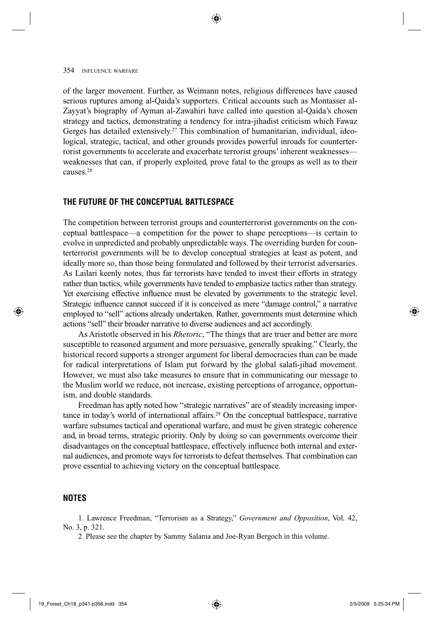of the larger movement. Further, as Weimann notes, religious differences have caused serious ruptures among al-Qaida's supporters. Critical accounts such as Montasser al-Zayyat's biography of Ayman al-Zawahiri have called into question al-Qaida's chosen strategy and tactics, demonstrating a tendency for intra-jihadist criticism which Fawaz Gerges has detailed extensively.<sup>27</sup> This combination of humanitarian, individual, ideological, strategic, tactical, and other grounds provides powerful inroads for counterterrorist governments to accelerate and exacerbate terrorist groups' inherent weaknesses weaknesses that can, if properly exploited, prove fatal to the groups as well as to their causes. 28

#### **THE FUTURE OF THE CONCEPTUAL BATTLESPACE**

 The competition between terrorist groups and counterterrorist governments on the conceptual battlespace—a competition for the power to shape perceptions—is certain to evolve in unpredicted and probably unpredictable ways. The overriding burden for counterterrorist governments will be to develop conceptual strategies at least as potent, and ideally more so, than those being formulated and followed by their terrorist adversaries. As Lailari keenly notes, thus far terrorists have tended to invest their efforts in strategy rather than tactics, while governments have tended to emphasize tactics rather than strategy. Yet exercising effective influence must be elevated by governments to the strategic level. Strategic influence cannot succeed if it is conceived as mere "damage control," a narrative employed to "sell" actions already undertaken. Rather, governments must determine which actions "sell" their broader narrative to diverse audiences and act accordingly.

 As Aristotle observed in his *Rhetoric*, "The things that are truer and better are more susceptible to reasoned argument and more persuasive, generally speaking." Clearly, the historical record supports a stronger argument for liberal democracies than can be made for radical interpretations of Islam put forward by the global salafi -jihad movement. However, we must also take measures to ensure that in communicating our message to the Muslim world we reduce, not increase, existing perceptions of arrogance, opportunism, and double standards.

 Freedman has aptly noted how "strategic narratives" are of steadily increasing importance in today's world of international affairs. 29 On the conceptual battlespace, narrative warfare subsumes tactical and operational warfare, and must be given strategic coherence and, in broad terms, strategic priority. Only by doing so can governments overcome their disadvantages on the conceptual battlespace, effectively influence both internal and external audiences, and promote ways for terrorists to defeat themselves. That combination can prove essential to achieving victory on the conceptual battlespace.

### **NOTES**

◈

1. Lawrence Freedman, "Terrorism as a Strategy," *Government and Opposition*, Vol. 42, No. 3, p. 321.

2. Please see the chapter by Sammy Salama and Joe-Ryan Bergoch in this volume.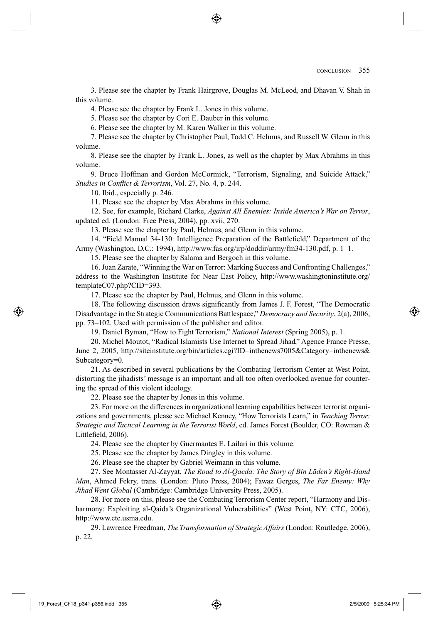3. Please see the chapter by Frank Hairgrove, Douglas M. McLeod, and Dhavan V. Shah in this volume.

4. Please see the chapter by Frank L. Jones in this volume.

5. Please see the chapter by Cori E. Dauber in this volume.

6. Please see the chapter by M. Karen Walker in this volume.

 7. Please see the chapter by Christopher Paul, Todd C. Helmus, and Russell W. Glenn in this volume.

 8. Please see the chapter by Frank L. Jones, as well as the chapter by Max Abrahms in this volume.

 9. Bruce Hoffman and Gordon McCormick, "Terrorism, Signaling, and Suicide Attack," *Studies in Conflict & Terrorism*, Vol. 27, No. 4, p. 244.

10. Ibid., especially p. 246.

11. Please see the chapter by Max Abrahms in this volume.

 12. See, for example, Richard Clarke, *Against All Enemies: Inside America's War on Terror* , updated ed. (London: Free Press, 2004), pp. xvii, 270.

13. Please see the chapter by Paul, Helmus, and Glenn in this volume.

14. "Field Manual 34-130: Intelligence Preparation of the Battlefield," Department of the Army (Washington, D.C.: 1994), http://www.fas.org/irp/doddir/army/fm34-130.pdf, p. 1–1.

15. Please see the chapter by Salama and Bergoch in this volume.

 16. Juan Zarate, "Winning the War on Terror: Marking Success and Confronting Challenges," address to the Washington Institute for Near East Policy, http://www.washingtoninstitute.org/ templateC07.php?CID=393.

17. Please see the chapter by Paul, Helmus, and Glenn in this volume.

18. The following discussion draws significantly from James J. F. Forest, "The Democratic Disadvantage in the Strategic Communications Battlespace," *Democracy and Security*, 2(a), 2006, pp. 73–102. Used with permission of the publisher and editor.

19. Daniel Byman, "How to Fight Terrorism," *National Interest* (Spring 2005), p. 1.

 20. Michel Moutot, "Radical Islamists Use Internet to Spread Jihad," Agence France Presse, June 2, 2005, http://siteinstitute.org/bin/articles.cgi?ID=inthenews7005&Category=inthenews& Subcategory=0.

 21. As described in several publications by the Combating Terrorism Center at West Point, distorting the jihadists' message is an important and all too often overlooked avenue for countering the spread of this violent ideology.

22. Please see the chapter by Jones in this volume.

 23. For more on the differences in organizational learning capabilities between terrorist organizations and governments, please see Michael Kenney, "How Terrorists Learn," in *Teaching Terror: Strategic and Tactical Learning in the Terrorist World*, ed. James Forest (Boulder, CO: Rowman & Littlefield, 2006).

24. Please see the chapter by Guermantes E. Lailari in this volume.

25. Please see the chapter by James Dingley in this volume.

26. Please see the chapter by Gabriel Weimann in this volume.

27. See Montasser Al-Zayyat, *The Road to Al-Qaeda: The Story of Bin Laden's Right-Hand Man* , Ahmed Fekry, trans. (London: Pluto Press, 2004); Fawaz Gerges, *The Far Enemy: Why Jihad Went Global* (Cambridge: Cambridge University Press, 2005).

 28. For more on this, please see the Combating Terrorism Center report, "Harmony and Disharmony: Exploiting al-Qaida's Organizational Vulnerabilities" (West Point, NY: CTC, 2006), http://www.ctc.usma.edu.

 29. Lawrence Freedman, *The Transformation of Strategic Affairs* (London: Routledge, 2006), p. 22.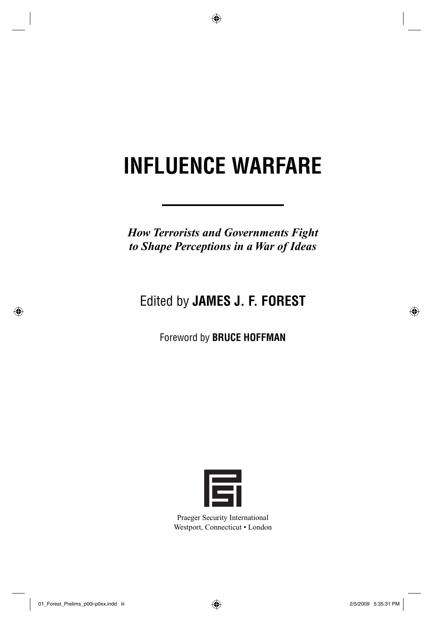◈

*How Terrorists and Governments Fight to Shape Perceptions in a War of Ideas*

## Edited by **JAMES J. F. FOREST**

Foreword by **BRUCE HOFFMAN**



Praeger Security International Westport, Connecticut • London

01\_Forest\_Prelims\_p00i-p0xx.indd iii 10 and 1 and 1 and 1 and 1 and 1 and 1 and 2/5/2009 5:35:31 PM /5/2009 5:35:31 PM

◈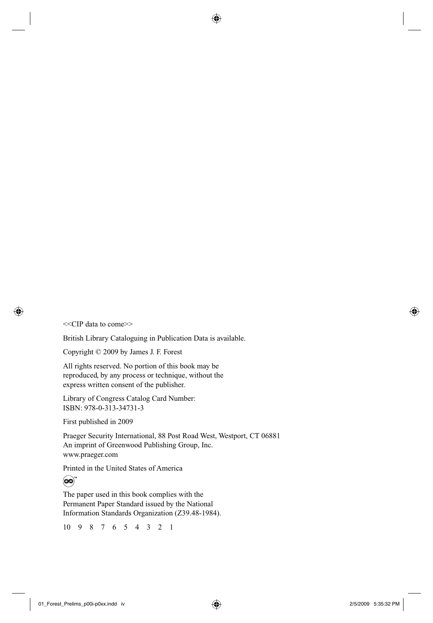<<CIP data to come>>

◈

British Library Cataloguing in Publication Data is available.

◈

Copyright © 2009 by James J. F. Forest

All rights reserved. No portion of this book may be reproduced, by any process or technique, without the express written consent of the publisher.

Library of Congress Catalog Card Number: ISBN: 978-0-313-34731-3

First published in 2009

Praeger Security International, 88 Post Road West, Westport, CT 06881 An imprint of Greenwood Publishing Group, Inc. www.praeger.com

Printed in the United States of America

### $\left( \infty\right)$

The paper used in this book complies with the Permanent Paper Standard issued by the National Information Standards Organization (Z39.48-1984).

10 9 8 7 6 5 4 3 2 1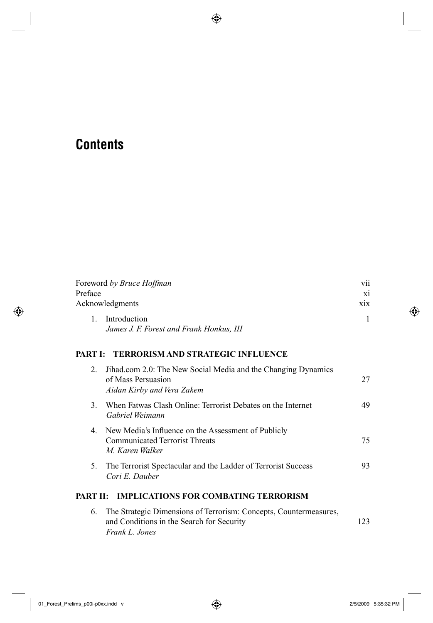## **Contents**

 $\bigcirc$ 

| Foreword by Bruce Hoffman<br>Preface<br>Acknowledgments |                                                                                                                                  | <b>V11</b><br>X1<br>xix |  |
|---------------------------------------------------------|----------------------------------------------------------------------------------------------------------------------------------|-------------------------|--|
| 1.                                                      | Introduction<br>James J. F. Forest and Frank Honkus, III                                                                         | 1                       |  |
|                                                         | <b>PART I: TERRORISM AND STRATEGIC INFLUENCE</b>                                                                                 |                         |  |
| 2.                                                      | Jihad.com 2.0: The New Social Media and the Changing Dynamics<br>of Mass Persuasion<br>Aidan Kirby and Vera Zakem                | 27                      |  |
| 3.                                                      | When Fatwas Clash Online: Terrorist Debates on the Internet<br>Gabriel Weimann                                                   | 49                      |  |
| $4_{\cdot}$                                             | New Media's Influence on the Assessment of Publicly<br><b>Communicated Terrorist Threats</b><br>M. Karen Walker                  | 75                      |  |
| 5.                                                      | The Terrorist Spectacular and the Ladder of Terrorist Success<br>Cori E. Dauber                                                  | 93                      |  |
| PART II:                                                | <b>IMPLICATIONS FOR COMBATING TERRORISM</b>                                                                                      |                         |  |
| 6.                                                      | The Strategic Dimensions of Terrorism: Concepts, Countermeasures,<br>and Conditions in the Search for Security<br>Frank L. Jones | 123                     |  |

 $\bigoplus$